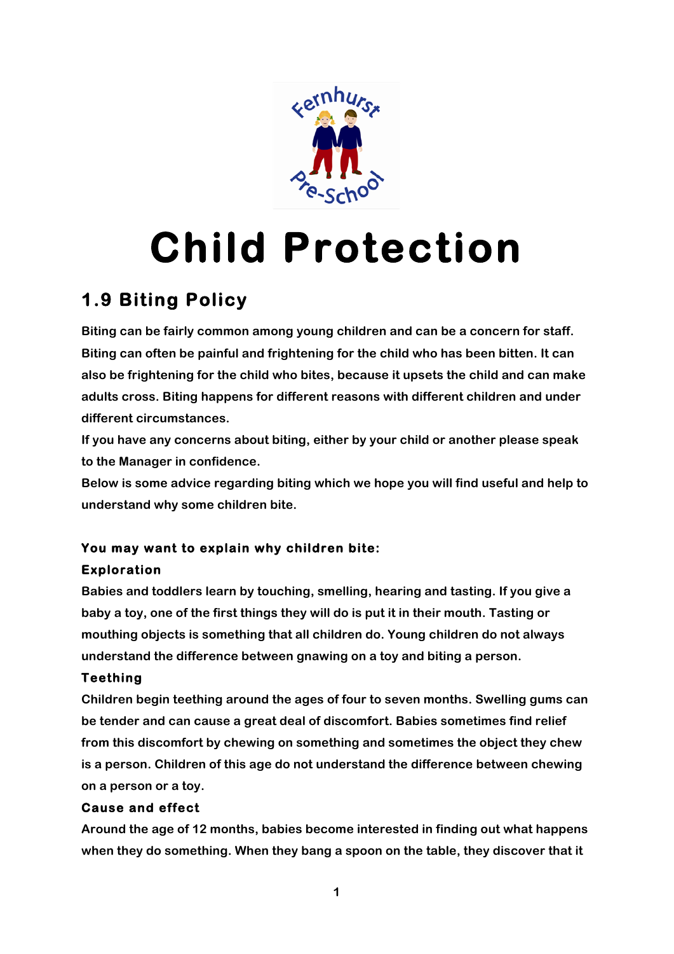

# **Child Protection**

# **1.9 Biting Policy**

**Biting can be fairly common among young children and can be a concern for staff. Biting can often be painful and frightening for the child who has been bitten. It can also be frightening for the child who bites, because it upsets the child and can make adults cross. Biting happens for different reasons with different children and under different circumstances.** 

**If you have any concerns about biting, either by your child or another please speak to the Manager in confidence.**

**Below is some advice regarding biting which we hope you will find useful and help to understand why some children bite.**

## **You may want to explain why children bite:**

### **Exploration**

**Babies and toddlers learn by touching, smelling, hearing and tasting. If you give a baby a toy, one of the first things they will do is put it in their mouth. Tasting or mouthing objects is something that all children do. Young children do not always understand the difference between gnawing on a toy and biting a person.** 

#### **Teething**

**Children begin teething around the ages of four to seven months. Swelling gums can be tender and can cause a great deal of discomfort. Babies sometimes find relief from this discomfort by chewing on something and sometimes the object they chew is a person. Children of this age do not understand the difference between chewing on a person or a toy.** 

#### **Cause and effect**

**Around the age of 12 months, babies become interested in finding out what happens when they do something. When they bang a spoon on the table, they discover that it**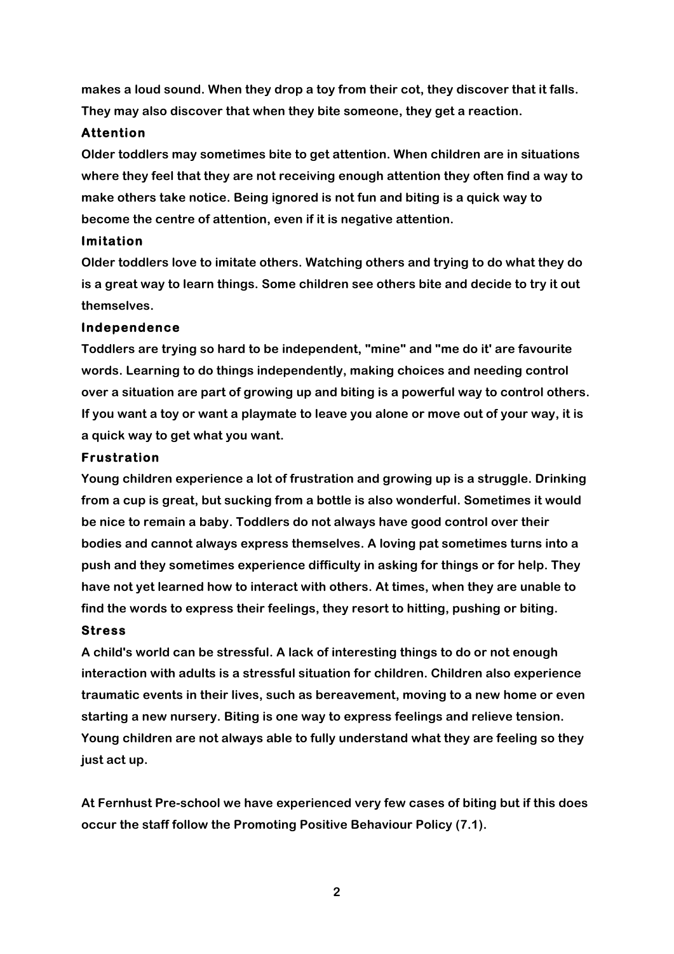**makes a loud sound. When they drop a toy from their cot, they discover that it falls. They may also discover that when they bite someone, they get a reaction.** 

#### **Attention**

**Older toddlers may sometimes bite to get attention. When children are in situations where they feel that they are not receiving enough attention they often find a way to make others take notice. Being ignored is not fun and biting is a quick way to become the centre of attention, even if it is negative attention.** 

#### **Imitation**

**Older toddlers love to imitate others. Watching others and trying to do what they do is a great way to learn things. Some children see others bite and decide to try it out themselves.** 

#### **Independence**

**Toddlers are trying so hard to be independent, "mine" and "me do it' are favourite words. Learning to do things independently, making choices and needing control over a situation are part of growing up and biting is a powerful way to control others. If you want a toy or want a playmate to leave you alone or move out of your way, it is a quick way to get what you want.** 

#### **Frustration**

**Young children experience a lot of frustration and growing up is a struggle. Drinking from a cup is great, but sucking from a bottle is also wonderful. Sometimes it would be nice to remain a baby. Toddlers do not always have good control over their bodies and cannot always express themselves. A loving pat sometimes turns into a push and they sometimes experience difficulty in asking for things or for help. They have not yet learned how to interact with others. At times, when they are unable to find the words to express their feelings, they resort to hitting, pushing or biting.** 

#### **Stress**

**A child's world can be stressful. A lack of interesting things to do or not enough interaction with adults is a stressful situation for children. Children also experience traumatic events in their lives, such as bereavement, moving to a new home or even starting a new nursery. Biting is one way to express feelings and relieve tension. Young children are not always able to fully understand what they are feeling so they just act up.** 

**At Fernhust Pre-school we have experienced very few cases of biting but if this does occur the staff follow the Promoting Positive Behaviour Policy (7.1).**